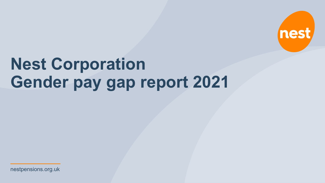nestpensions.org.uk

# **Nest Corporation Gender pay gap report 2021**

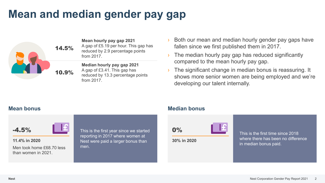### **Mean and median gender pay gap**



**Mean hourly pay gap 2021** A gap of £5.19 per hour. This gap has reduced by 2.9 percentage points from 2017.

**Median hourly pay gap 2021** A gap of £3.41. This gap has reduced by 13.3 percentage points from 2017.

- › Both our mean and median hourly gender pay gaps have fallen since we first published them in 2017.
- The median hourly pay gap has reduced significantly compared to the mean hourly pay gap.
- The significant change in median bonus is reassuring. It shows more senior women are being employed and we're developing our talent internally.



**11.4% in 2020**

Men took home £68.70 less than women in 2021.

This is the first year since we started reporting in 2017 where women at Nest were paid a larger bonus than men.

### **Mean bonus Median bonus**

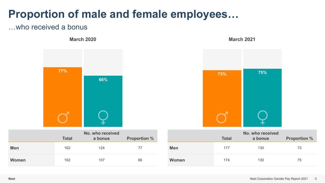### **Proportion of male and female employees…**

### …who received a bonus

**March 2020 March 2021**



|              | <b>Total</b> | <b>NO. WHO received</b><br>a bonus | <b>Proportion %</b> |
|--------------|--------------|------------------------------------|---------------------|
| <b>Men</b>   | 162          | 124                                | 77                  |
| <b>Women</b> | 162          | 107                                | 66                  |



|            | <b>Total</b> | No. who received<br>a bonus | <b>Proportion %</b> |
|------------|--------------|-----------------------------|---------------------|
| <b>Men</b> | 177          | 130                         | 73                  |
| Women      | 174          | 130                         | 75                  |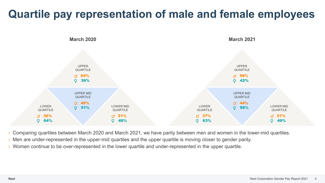### **Quartile pay representation of male and female employees**



› Comparing quartiles between March 2020 and March 2021, we have parity between men and women in the lower-mid quartiles.

- › Men are under-represented in the upper-mid quartiles and the upper quartile is moving closer to gender parity.
- › Women continue to be over-represented in the lower quartile and under-represented in the upper quartile.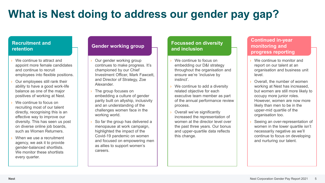## **What is Nest doing to address our gender pay gap?**

#### **Recruitment and retention**

- We continue to attract and appoint more female candidates and continue to recruit employees into flexible positions.
- Our employees still rank their ability to have a good work-life balance as one of the major positives of working at Nest.
- We continue to focus on recruiting most of our talent directly, recognising this is an effective way to improve our diversity. This has seen us post on diverse online job boards, such as Women Returners.
- When we use a recruitment agency, we ask it to provide gender-balanced shortlists. We monitor these shortlists every quarter.

#### **Gender working group**

- Our gender working group continues to make progress. It's championed by our Chief Investment Officer, Mark Fawcett, and Director of Strategy, Zoe Alexander.
- The group focuses on embedding a culture of gender parity built on allyship, inclusivity and an understanding of the challenges women face in the working world.
- So far the group has delivered a menopause at work campaign, highlighted the impact of the Covid-19 pandemic on women and focused on empowering men as allies to support women's careers.

#### **Focussed on diversity and inclusion**

- We continue to focus on embedding our D&I strategy throughout the organisation and ensure we're 'inclusive by instinct'.
- › We continue to add a diversity related objective for each executive team member as part of the annual performance review process.
- › Overall we've significantly increased the representation of women at the director level over the past three years. Our bonus and upper-quartile data reflects this change.

#### **Continued in-year monitoring and progress reporting**

- We continue to monitor and report on our talent at an organisation and business unit level.
- Overall, the number of women working at Nest has increased, but women are still more likely to occupy more junior roles. However, women are now more likely than men to be in the upper-mid quartile of the organisation too.
- Seeing an over-representation of women in the lower quartile isn't necessarily negative as we'll continue to focus on developing and nurturing our talent.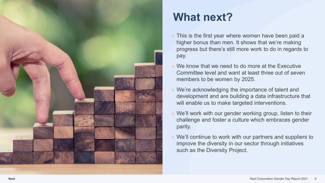

## **What next?**

- › This is the first year where women have been paid a higher bonus than men. It shows that we're making progress but there's still more work to do in regards to pay.
- › We know that we need to do more at the Executive Committee level and want at least three out of seven members to be women by 2025.
- › We're acknowledging the importance of talent and development and are building a data infrastructure that will enable us to make targeted interventions.
- › We'll work with our gender working group, listen to their challenge and foster a culture which embraces gender parity.
- › We'll continue to work with our partners and suppliers to improve the diversity in our sector through initiatives such as the Diversity Project.